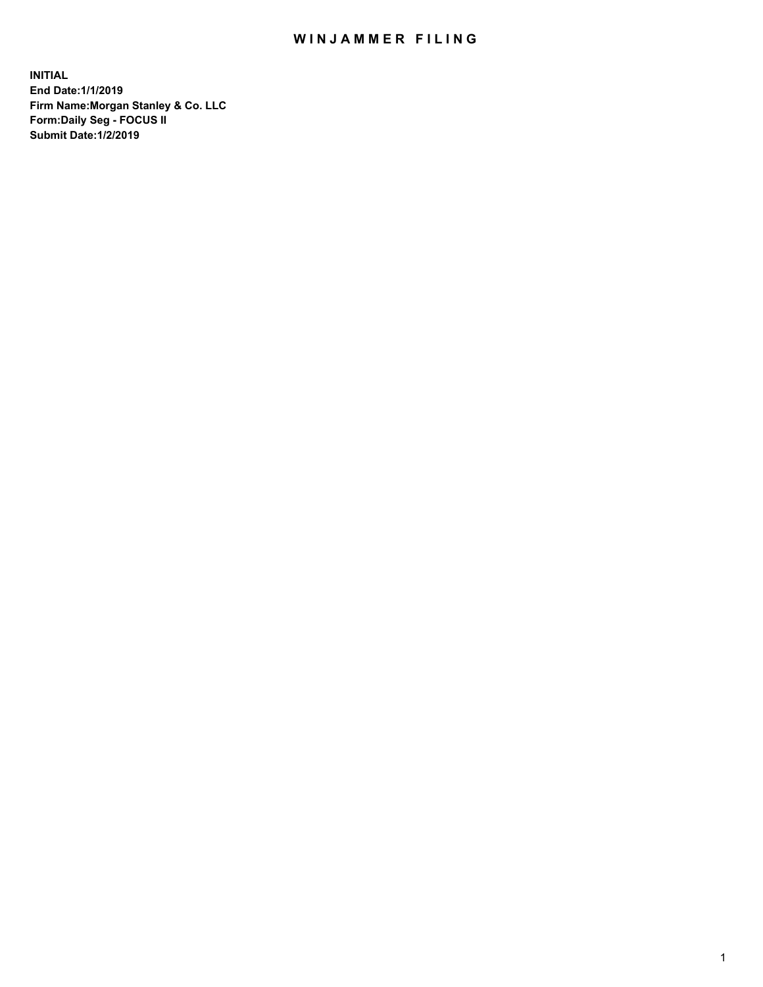## WIN JAMMER FILING

**INITIAL End Date:1/1/2019 Firm Name:Morgan Stanley & Co. LLC Form:Daily Seg - FOCUS II Submit Date:1/2/2019**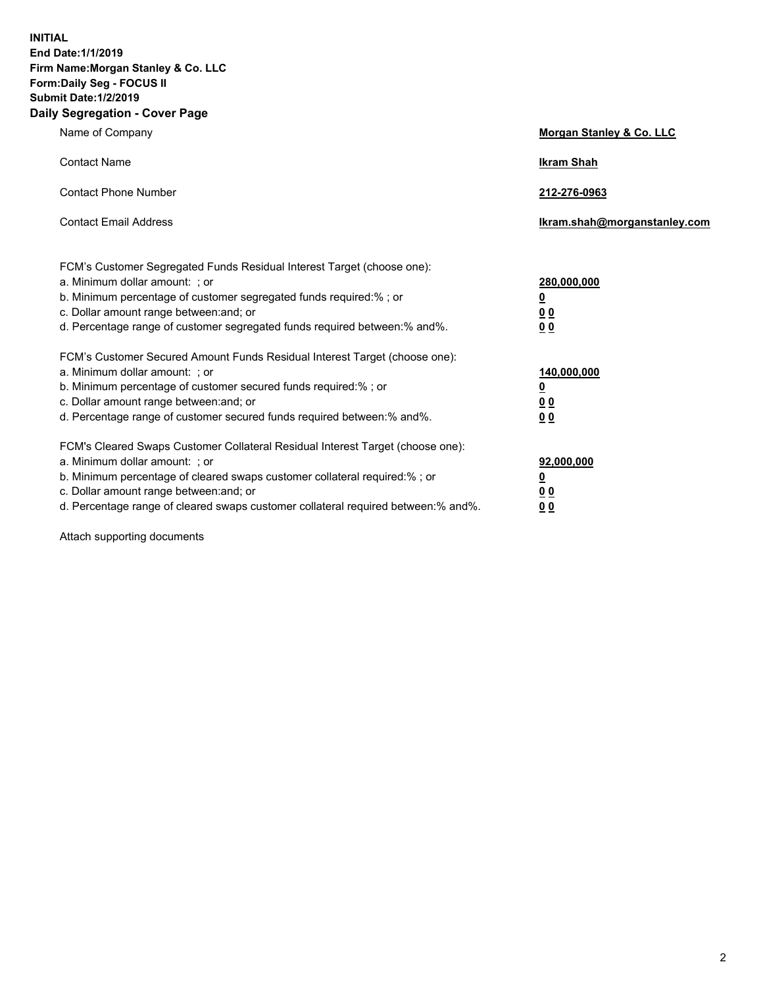**INITIAL End Date:1/1/2019 Firm Name:Morgan Stanley & Co. LLC Form:Daily Seg - FOCUS II Submit Date:1/2/2019 Daily Segregation - Cover Page**

| Name of Company                                                                                                                                                                                                                                                                                                                | Morgan Stanley & Co. LLC                                    |
|--------------------------------------------------------------------------------------------------------------------------------------------------------------------------------------------------------------------------------------------------------------------------------------------------------------------------------|-------------------------------------------------------------|
| <b>Contact Name</b>                                                                                                                                                                                                                                                                                                            | <b>Ikram Shah</b>                                           |
| <b>Contact Phone Number</b>                                                                                                                                                                                                                                                                                                    | 212-276-0963                                                |
| <b>Contact Email Address</b>                                                                                                                                                                                                                                                                                                   | Ikram.shah@morganstanley.com                                |
| FCM's Customer Segregated Funds Residual Interest Target (choose one):<br>a. Minimum dollar amount: ; or<br>b. Minimum percentage of customer segregated funds required:% ; or<br>c. Dollar amount range between: and; or<br>d. Percentage range of customer segregated funds required between: % and %.                       | 280,000,000<br><u>0</u><br>00<br>0 <sub>0</sub>             |
| FCM's Customer Secured Amount Funds Residual Interest Target (choose one):<br>a. Minimum dollar amount: ; or<br>b. Minimum percentage of customer secured funds required:%; or<br>c. Dollar amount range between: and; or<br>d. Percentage range of customer secured funds required between:% and%.                            | 140,000,000<br><u>0</u><br>0 <sub>0</sub><br>0 <sub>0</sub> |
| FCM's Cleared Swaps Customer Collateral Residual Interest Target (choose one):<br>a. Minimum dollar amount: ; or<br>b. Minimum percentage of cleared swaps customer collateral required:% ; or<br>c. Dollar amount range between: and; or<br>d. Percentage range of cleared swaps customer collateral required between:% and%. | 92,000,000<br><u>0</u><br><u>00</u><br>00                   |

Attach supporting documents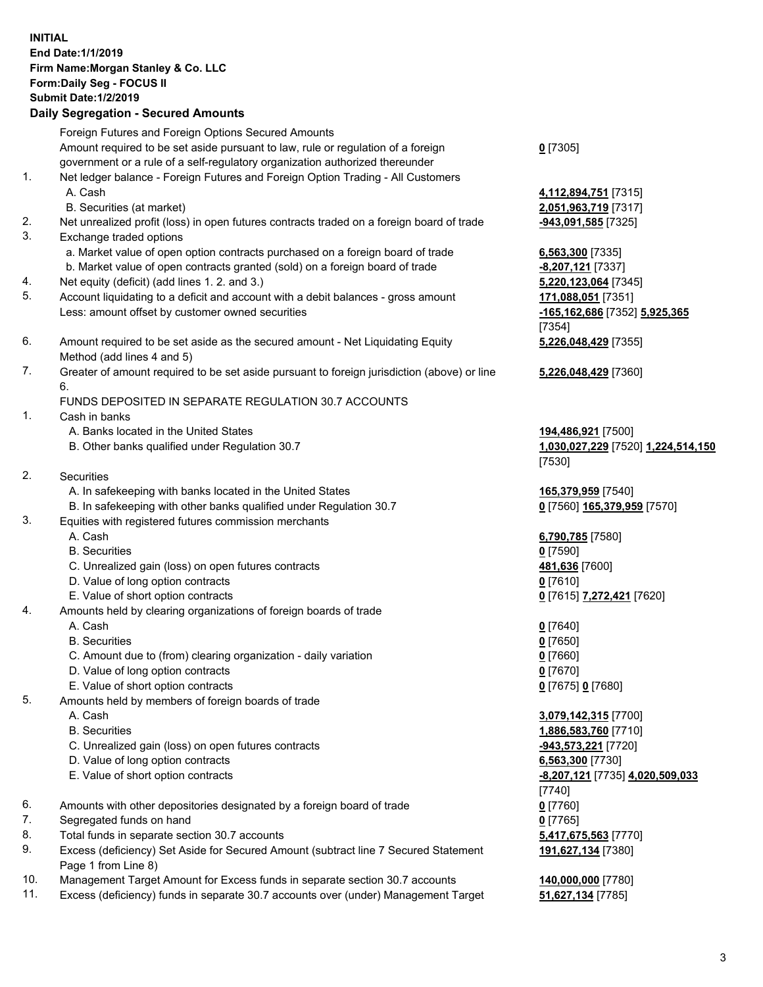|          | <b>INITIAL</b><br>End Date: 1/1/2019<br>Firm Name: Morgan Stanley & Co. LLC<br>Form: Daily Seg - FOCUS II<br><b>Submit Date: 1/2/2019</b><br><b>Daily Segregation - Secured Amounts</b> |                                    |
|----------|-----------------------------------------------------------------------------------------------------------------------------------------------------------------------------------------|------------------------------------|
|          | Foreign Futures and Foreign Options Secured Amounts<br>Amount required to be set aside pursuant to law, rule or regulation of a foreign                                                 | $0$ [7305]                         |
|          | government or a rule of a self-regulatory organization authorized thereunder                                                                                                            |                                    |
| 1.       | Net ledger balance - Foreign Futures and Foreign Option Trading - All Customers                                                                                                         |                                    |
|          | A. Cash                                                                                                                                                                                 | 4,112,894,751 [7315]               |
|          | B. Securities (at market)                                                                                                                                                               | 2,051,963,719 [7317]               |
| 2.<br>3. | Net unrealized profit (loss) in open futures contracts traded on a foreign board of trade<br>Exchange traded options                                                                    | -943,091,585 [7325]                |
|          | a. Market value of open option contracts purchased on a foreign board of trade                                                                                                          | 6,563,300 [7335]                   |
|          | b. Market value of open contracts granted (sold) on a foreign board of trade                                                                                                            | -8,207,121 [7337]                  |
| 4.       | Net equity (deficit) (add lines 1.2. and 3.)                                                                                                                                            | 5,220,123,064 [7345]               |
| 5.       | Account liquidating to a deficit and account with a debit balances - gross amount                                                                                                       | 171,088,051 [7351]                 |
|          | Less: amount offset by customer owned securities                                                                                                                                        | -165,162,686 [7352] 5,925,365      |
| 6.       |                                                                                                                                                                                         | [7354]                             |
|          | Amount required to be set aside as the secured amount - Net Liquidating Equity<br>Method (add lines 4 and 5)                                                                            | 5,226,048,429 [7355]               |
| 7.       | Greater of amount required to be set aside pursuant to foreign jurisdiction (above) or line                                                                                             | 5,226,048,429 [7360]               |
|          | 6.<br>FUNDS DEPOSITED IN SEPARATE REGULATION 30.7 ACCOUNTS                                                                                                                              |                                    |
| 1.       | Cash in banks                                                                                                                                                                           |                                    |
|          | A. Banks located in the United States                                                                                                                                                   | 194,486,921 [7500]                 |
|          | B. Other banks qualified under Regulation 30.7                                                                                                                                          | 1,030,027,229 [7520] 1,224,514,150 |
|          |                                                                                                                                                                                         | [7530]                             |
| 2.       | Securities                                                                                                                                                                              |                                    |
|          | A. In safekeeping with banks located in the United States                                                                                                                               | 165,379,959 [7540]                 |
|          | B. In safekeeping with other banks qualified under Regulation 30.7                                                                                                                      | 0 [7560] 165,379,959 [7570]        |
| 3.       | Equities with registered futures commission merchants<br>A. Cash                                                                                                                        | 6,790,785 [7580]                   |
|          | <b>B.</b> Securities                                                                                                                                                                    | $0$ [7590]                         |
|          | C. Unrealized gain (loss) on open futures contracts                                                                                                                                     | 481,636 [7600]                     |
|          | D. Value of long option contracts                                                                                                                                                       | $0$ [7610]                         |
|          | E. Value of short option contracts                                                                                                                                                      | 0 [7615] 7,272,421 [7620]          |
| 4.       | Amounts held by clearing organizations of foreign boards of trade                                                                                                                       |                                    |
|          | A. Cash                                                                                                                                                                                 | $0$ [7640]                         |
|          | <b>B.</b> Securities                                                                                                                                                                    | $0$ [7650]                         |
|          | C. Amount due to (from) clearing organization - daily variation                                                                                                                         | $0$ [7660]                         |
|          | D. Value of long option contracts<br>E. Value of short option contracts                                                                                                                 | $0$ [7670]<br>0 [7675] 0 [7680]    |
| 5.       | Amounts held by members of foreign boards of trade                                                                                                                                      |                                    |
|          | A. Cash                                                                                                                                                                                 | 3,079,142,315 [7700]               |
|          | <b>B.</b> Securities                                                                                                                                                                    | 1,886,583,760 [7710]               |
|          | C. Unrealized gain (loss) on open futures contracts                                                                                                                                     | -943,573,221 [7720]                |
|          | D. Value of long option contracts                                                                                                                                                       | 6,563,300 [7730]                   |
|          | E. Value of short option contracts                                                                                                                                                      | -8,207,121 [7735] 4,020,509,033    |
|          |                                                                                                                                                                                         | $[7740]$                           |
| 6.       | Amounts with other depositories designated by a foreign board of trade                                                                                                                  | $0$ [7760]                         |
| 7.<br>8. | Segregated funds on hand<br>Total funds in separate section 30.7 accounts                                                                                                               | $0$ [7765]<br>5,417,675,563 [7770] |
| 9.       | Excess (deficiency) Set Aside for Secured Amount (subtract line 7 Secured Statement                                                                                                     | 191,627,134 [7380]                 |
|          | Page 1 from Line 8)                                                                                                                                                                     |                                    |

- 10. Management Target Amount for Excess funds in separate section 30.7 accounts **140,000,000** [7780]
- 11. Excess (deficiency) funds in separate 30.7 accounts over (under) Management Target **51,627,134** [7785]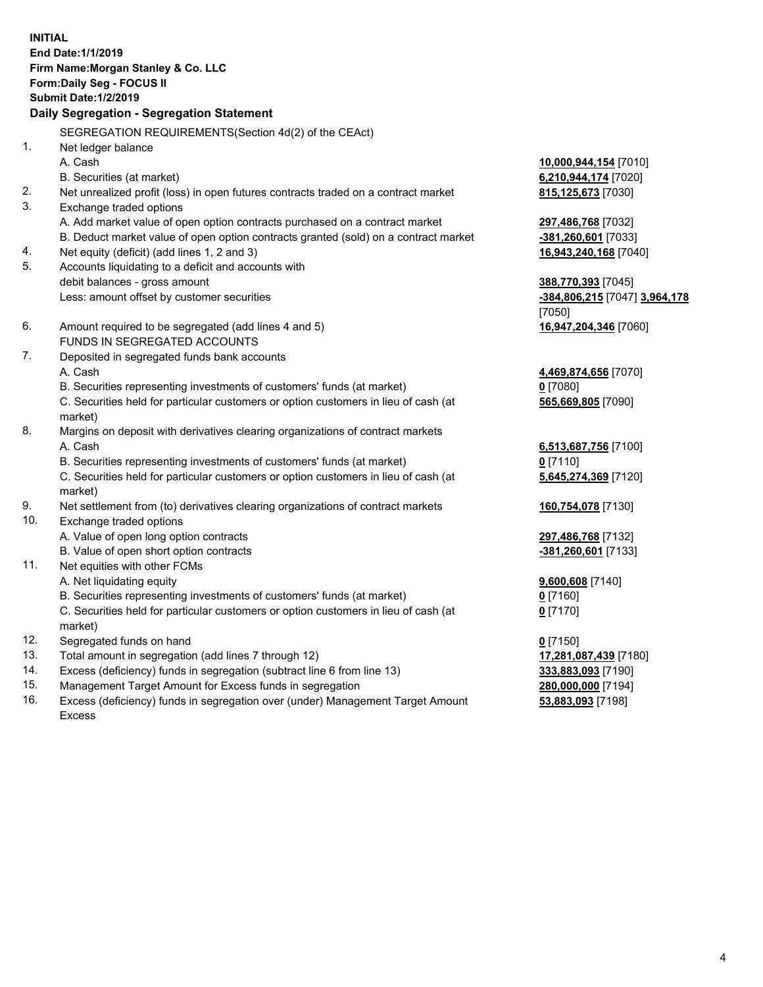**INITIAL End Date:1/1/2019 Firm Name:Morgan Stanley & Co. LLC Form:Daily Seg - FOCUS II Submit Date:1/2/2019 Daily Segregation - Segregation Statement** SEGREGATION REQUIREMENTS(Section 4d(2) of the CEAct) 1. Net ledger balance A. Cash **10,000,944,154** [7010] B. Securities (at market) **6,210,944,174** [7020] 2. Net unrealized profit (loss) in open futures contracts traded on a contract market **815,125,673** [7030] 3. Exchange traded options A. Add market value of open option contracts purchased on a contract market **297,486,768** [7032] B. Deduct market value of open option contracts granted (sold) on a contract market **-381,260,601** [7033] 4. Net equity (deficit) (add lines 1, 2 and 3) **16,943,240,168** [7040] 5. Accounts liquidating to a deficit and accounts with debit balances - gross amount **388,770,393** [7045] Less: amount offset by customer securities **-384,806,215** [7047] **3,964,178** [7050] 6. Amount required to be segregated (add lines 4 and 5) **16,947,204,346** [7060] FUNDS IN SEGREGATED ACCOUNTS 7. Deposited in segregated funds bank accounts A. Cash **4,469,874,656** [7070] B. Securities representing investments of customers' funds (at market) **0** [7080] C. Securities held for particular customers or option customers in lieu of cash (at market) **565,669,805** [7090] 8. Margins on deposit with derivatives clearing organizations of contract markets A. Cash **6,513,687,756** [7100] B. Securities representing investments of customers' funds (at market) **0** [7110] C. Securities held for particular customers or option customers in lieu of cash (at market) **5,645,274,369** [7120] 9. Net settlement from (to) derivatives clearing organizations of contract markets **160,754,078** [7130] 10. Exchange traded options A. Value of open long option contracts **297,486,768** [7132] B. Value of open short option contracts **-381,260,601** [7133] 11. Net equities with other FCMs A. Net liquidating equity **9,600,608** [7140] B. Securities representing investments of customers' funds (at market) **0** [7160] C. Securities held for particular customers or option customers in lieu of cash (at market) **0** [7170] 12. Segregated funds on hand **0** [7150] 13. Total amount in segregation (add lines 7 through 12) **17,281,087,439** [7180] 14. Excess (deficiency) funds in segregation (subtract line 6 from line 13) **333,883,093** [7190]

- 15. Management Target Amount for Excess funds in segregation **280,000,000** [7194]
- 16. Excess (deficiency) funds in segregation over (under) Management Target Amount Excess

**53,883,093** [7198]